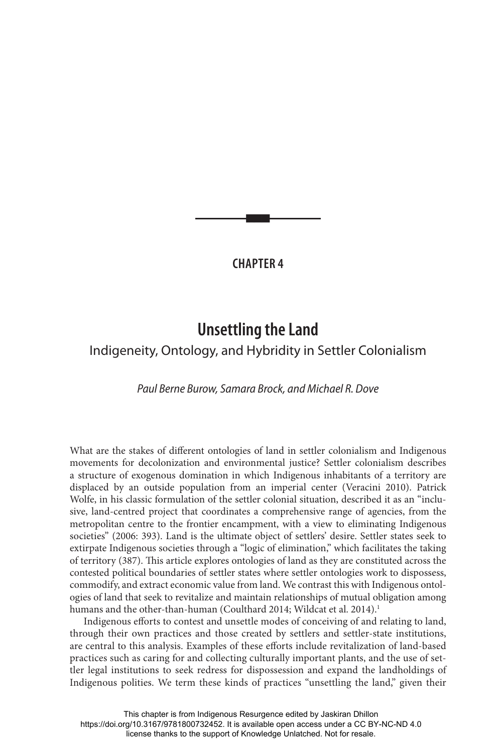

# **CHAPTER 4**

# **Unsettling the Land**

# Indigeneity, Ontology, and Hybridity in Settler Colonialism

# *Paul Berne Burow, Samara Brock, and Michael R. Dove*

What are the stakes of different ontologies of land in settler colonialism and Indigenous movements for decolonization and environmental justice? Settler colonialism describes a structure of exogenous domination in which Indigenous inhabitants of a territory are displaced by an outside population from an imperial center (Veracini 2010). Patrick Wolfe, in his classic formulation of the settler colonial situation, described it as an "inclusive, land-centred project that coordinates a comprehensive range of agencies, from the metropolitan centre to the frontier encampment, with a view to eliminating Indigenous societies" (2006: 393). Land is the ultimate object of settlers' desire. Settler states seek to extirpate Indigenous societies through a "logic of elimination," which facilitates the taking of territory (387). This article explores ontologies of land as they are constituted across the contested political boundaries of settler states where settler ontologies work to dispossess, commodify, and extract economic value from land. We contrast this with Indigenous ontologies of land that seek to revitalize and maintain relationships of mutual obligation among humans and the other-than-human (Coulthard 2014; Wildcat et al. 2014).<sup>1</sup>

Indigenous efforts to contest and unsettle modes of conceiving of and relating to land, through their own practices and those created by settlers and settler-state institutions, are central to this analysis. Examples of these efforts include revitalization of land-based practices such as caring for and collecting culturally important plants, and the use of settler legal institutions to seek redress for dispossession and expand the landholdings of Indigenous polities. We term these kinds of practices "unsettling the land," given their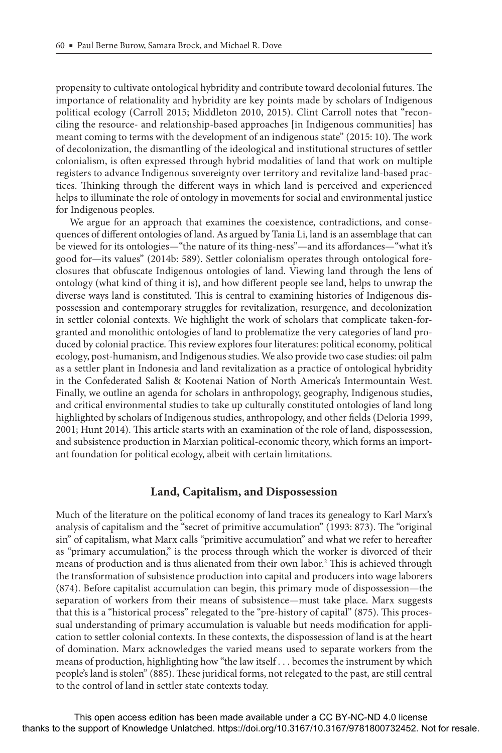propensity to cultivate ontological hybridity and contribute toward decolonial futures. The importance of relationality and hybridity are key points made by scholars of Indigenous political ecology (Carroll 2015; Middleton 2010, 2015). Clint Carroll notes that "reconciling the resource- and relationship-based approaches [in Indigenous communities] has meant coming to terms with the development of an indigenous state" (2015: 10). The work of decolonization, the dismantling of the ideological and institutional structures of settler colonialism, is often expressed through hybrid modalities of land that work on multiple registers to advance Indigenous sovereignty over territory and revitalize land-based practices. Thinking through the different ways in which land is perceived and experienced helps to illuminate the role of ontology in movements for social and environmental justice for Indigenous peoples.

We argue for an approach that examines the coexistence, contradictions, and consequences of different ontologies of land. As argued by Tania Li, land is an assemblage that can be viewed for its ontologies—"the nature of its thing-ness"—and its affordances—"what it's good for—its values" (2014b: 589). Settler colonialism operates through ontological foreclosures that obfuscate Indigenous ontologies of land. Viewing land through the lens of ontology (what kind of thing it is), and how different people see land, helps to unwrap the diverse ways land is constituted. This is central to examining histories of Indigenous dispossession and contemporary struggles for revitalization, resurgence, and decolonization in settler colonial contexts. We highlight the work of scholars that complicate taken-forgranted and monolithic ontologies of land to problematize the very categories of land produced by colonial practice. This review explores four literatures: political economy, political ecology, post-humanism, and Indigenous studies. We also provide two case studies: oil palm as a settler plant in Indonesia and land revitalization as a practice of ontological hybridity in the Confederated Salish & Kootenai Nation of North America's Intermountain West. Finally, we outline an agenda for scholars in anthropology, geography, Indigenous studies, and critical environmental studies to take up culturally constituted ontologies of land long highlighted by scholars of Indigenous studies, anthropology, and other fields (Deloria 1999, 2001; Hunt 2014). This article starts with an examination of the role of land, dispossession, and subsistence production in Marxian political-economic theory, which forms an important foundation for political ecology, albeit with certain limitations.

#### **Land, Capitalism, and Dispossession**

Much of the literature on the political economy of land traces its genealogy to Karl Marx's analysis of capitalism and the "secret of primitive accumulation" (1993: 873). The "original sin" of capitalism, what Marx calls "primitive accumulation" and what we refer to hereafter as "primary accumulation," is the process through which the worker is divorced of their means of production and is thus alienated from their own labor.2 This is achieved through the transformation of subsistence production into capital and producers into wage laborers (874). Before capitalist accumulation can begin, this primary mode of dispossession—the separation of workers from their means of subsistence—must take place. Marx suggests that this is a "historical process" relegated to the "pre-history of capital" (875). This processual understanding of primary accumulation is valuable but needs modification for application to settler colonial contexts. In these contexts, the dispossession of land is at the heart of domination. Marx acknowledges the varied means used to separate workers from the means of production, highlighting how "the law itself . . . becomes the instrument by which people's land is stolen" (885). These juridical forms, not relegated to the past, are still central to the control of land in settler state contexts today.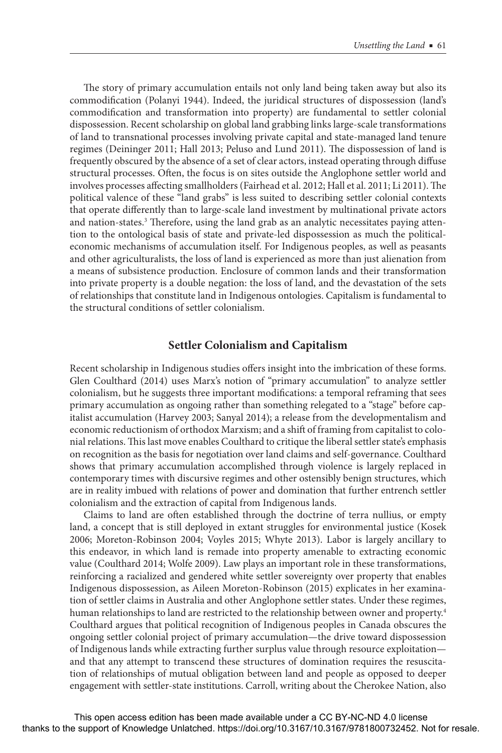The story of primary accumulation entails not only land being taken away but also its commodification (Polanyi 1944). Indeed, the juridical structures of dispossession (land's commodification and transformation into property) are fundamental to settler colonial dispossession. Recent scholarship on global land grabbing links large-scale transformations of land to transnational processes involving private capital and state-managed land tenure regimes (Deininger 2011; Hall 2013; Peluso and Lund 2011). The dispossession of land is frequently obscured by the absence of a set of clear actors, instead operating through diffuse structural processes. Often, the focus is on sites outside the Anglophone settler world and involves processes affecting smallholders (Fairhead et al. 2012; Hall et al. 2011; Li 2011). The political valence of these "land grabs" is less suited to describing settler colonial contexts that operate differently than to large-scale land investment by multinational private actors and nation-states.<sup>3</sup> Therefore, using the land grab as an analytic necessitates paying attention to the ontological basis of state and private-led dispossession as much the politicaleconomic mechanisms of accumulation itself. For Indigenous peoples, as well as peasants and other agriculturalists, the loss of land is experienced as more than just alienation from a means of subsistence production. Enclosure of common lands and their transformation into private property is a double negation: the loss of land, and the devastation of the sets of relationships that constitute land in Indigenous ontologies. Capitalism is fundamental to the structural conditions of settler colonialism.

#### **Settler Colonialism and Capitalism**

Recent scholarship in Indigenous studies offers insight into the imbrication of these forms. Glen Coulthard (2014) uses Marx's notion of "primary accumulation" to analyze settler colonialism, but he suggests three important modifications: a temporal reframing that sees primary accumulation as ongoing rather than something relegated to a "stage" before capitalist accumulation (Harvey 2003; Sanyal 2014); a release from the developmentalism and economic reductionism of orthodox Marxism; and a shift of framing from capitalist to colonial relations. This last move enables Coulthard to critique the liberal settler state's emphasis on recognition as the basis for negotiation over land claims and self-governance. Coulthard shows that primary accumulation accomplished through violence is largely replaced in contemporary times with discursive regimes and other ostensibly benign structures, which are in reality imbued with relations of power and domination that further entrench settler colonialism and the extraction of capital from Indigenous lands.

Claims to land are often established through the doctrine of terra nullius, or empty land, a concept that is still deployed in extant struggles for environmental justice (Kosek 2006; Moreton-Robinson 2004; Voyles 2015; Whyte 2013). Labor is largely ancillary to this endeavor, in which land is remade into property amenable to extracting economic value (Coulthard 2014; Wolfe 2009). Law plays an important role in these transformations, reinforcing a racialized and gendered white settler sovereignty over property that enables Indigenous dispossession, as Aileen Moreton-Robinson (2015) explicates in her examination of settler claims in Australia and other Anglophone settler states. Under these regimes, human relationships to land are restricted to the relationship between owner and property.<sup>4</sup> Coulthard argues that political recognition of Indigenous peoples in Canada obscures the ongoing settler colonial project of primary accumulation—the drive toward dispossession of Indigenous lands while extracting further surplus value through resource exploitation and that any attempt to transcend these structures of domination requires the resuscitation of relationships of mutual obligation between land and people as opposed to deeper engagement with settler-state institutions. Carroll, writing about the Cherokee Nation, also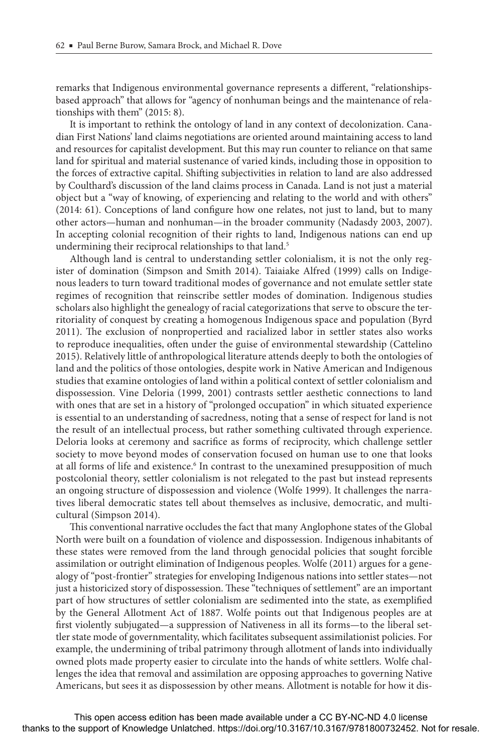remarks that Indigenous environmental governance represents a different, "relationshipsbased approach" that allows for "agency of nonhuman beings and the maintenance of relationships with them" (2015: 8).

It is important to rethink the ontology of land in any context of decolonization. Canadian First Nations' land claims negotiations are oriented around maintaining access to land and resources for capitalist development. But this may run counter to reliance on that same land for spiritual and material sustenance of varied kinds, including those in opposition to the forces of extractive capital. Shifting subjectivities in relation to land are also addressed by Coulthard's discussion of the land claims process in Canada. Land is not just a material object but a "way of knowing, of experiencing and relating to the world and with others" (2014: 61). Conceptions of land configure how one relates, not just to land, but to many other actors—human and nonhuman—in the broader community (Nadasdy 2003, 2007). In accepting colonial recognition of their rights to land, Indigenous nations can end up undermining their reciprocal relationships to that land.<sup>5</sup>

Although land is central to understanding settler colonialism, it is not the only register of domination (Simpson and Smith 2014). Taiaiake Alfred (1999) calls on Indigenous leaders to turn toward traditional modes of governance and not emulate settler state regimes of recognition that reinscribe settler modes of domination. Indigenous studies scholars also highlight the genealogy of racial categorizations that serve to obscure the territoriality of conquest by creating a homogenous Indigenous space and population (Byrd 2011). The exclusion of nonpropertied and racialized labor in settler states also works to reproduce inequalities, often under the guise of environmental stewardship (Cattelino 2015). Relatively little of anthropological literature attends deeply to both the ontologies of land and the politics of those ontologies, despite work in Native American and Indigenous studies that examine ontologies of land within a political context of settler colonialism and dispossession. Vine Deloria (1999, 2001) contrasts settler aesthetic connections to land with ones that are set in a history of "prolonged occupation" in which situated experience is essential to an understanding of sacredness, noting that a sense of respect for land is not the result of an intellectual process, but rather something cultivated through experience. Deloria looks at ceremony and sacrifice as forms of reciprocity, which challenge settler society to move beyond modes of conservation focused on human use to one that looks at all forms of life and existence.<sup>6</sup> In contrast to the unexamined presupposition of much postcolonial theory, settler colonialism is not relegated to the past but instead represents an ongoing structure of dispossession and violence (Wolfe 1999). It challenges the narratives liberal democratic states tell about themselves as inclusive, democratic, and multicultural (Simpson 2014).

This conventional narrative occludes the fact that many Anglophone states of the Global North were built on a foundation of violence and dispossession. Indigenous inhabitants of these states were removed from the land through genocidal policies that sought forcible assimilation or outright elimination of Indigenous peoples. Wolfe (2011) argues for a genealogy of "post-frontier" strategies for enveloping Indigenous nations into settler states—not just a historicized story of dispossession. These "techniques of settlement" are an important part of how structures of settler colonialism are sedimented into the state, as exemplified by the General Allotment Act of 1887. Wolfe points out that Indigenous peoples are at first violently subjugated—a suppression of Nativeness in all its forms—to the liberal settler state mode of governmentality, which facilitates subsequent assimilationist policies. For example, the undermining of tribal patrimony through allotment of lands into individually owned plots made property easier to circulate into the hands of white settlers. Wolfe challenges the idea that removal and assimilation are opposing approaches to governing Native Americans, but sees it as dispossession by other means. Allotment is notable for how it dis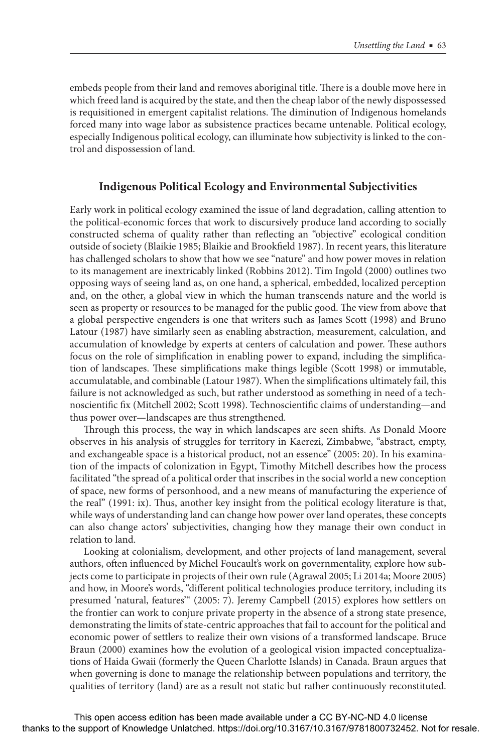embeds people from their land and removes aboriginal title. There is a double move here in which freed land is acquired by the state, and then the cheap labor of the newly dispossessed is requisitioned in emergent capitalist relations. The diminution of Indigenous homelands forced many into wage labor as subsistence practices became untenable. Political ecology, especially Indigenous political ecology, can illuminate how subjectivity is linked to the control and dispossession of land.

#### **Indigenous Political Ecology and Environmental Subjectivities**

Early work in political ecology examined the issue of land degradation, calling attention to the political-economic forces that work to discursively produce land according to socially constructed schema of quality rather than reflecting an "objective" ecological condition outside of society (Blaikie 1985; Blaikie and Brookfield 1987). In recent years, this literature has challenged scholars to show that how we see "nature" and how power moves in relation to its management are inextricably linked (Robbins 2012). Tim Ingold (2000) outlines two opposing ways of seeing land as, on one hand, a spherical, embedded, localized perception and, on the other, a global view in which the human transcends nature and the world is seen as property or resources to be managed for the public good. The view from above that a global perspective engenders is one that writers such as James Scott (1998) and Bruno Latour (1987) have similarly seen as enabling abstraction, measurement, calculation, and accumulation of knowledge by experts at centers of calculation and power. These authors focus on the role of simplification in enabling power to expand, including the simplification of landscapes. These simplifications make things legible (Scott 1998) or immutable, accumulatable, and combinable (Latour 1987). When the simplifications ultimately fail, this failure is not acknowledged as such, but rather understood as something in need of a technoscientific fix (Mitchell 2002; Scott 1998). Technoscientific claims of understanding—and thus power over—landscapes are thus strengthened.

Through this process, the way in which landscapes are seen shifts. As Donald Moore observes in his analysis of struggles for territory in Kaerezi, Zimbabwe, "abstract, empty, and exchangeable space is a historical product, not an essence" (2005: 20). In his examination of the impacts of colonization in Egypt, Timothy Mitchell describes how the process facilitated "the spread of a political order that inscribes in the social world a new conception of space, new forms of personhood, and a new means of manufacturing the experience of the real" (1991: ix). Thus, another key insight from the political ecology literature is that, while ways of understanding land can change how power over land operates, these concepts can also change actors' subjectivities, changing how they manage their own conduct in relation to land.

Looking at colonialism, development, and other projects of land management, several authors, often influenced by Michel Foucault's work on governmentality, explore how subjects come to participate in projects of their own rule (Agrawal 2005; Li 2014a; Moore 2005) and how, in Moore's words, "different political technologies produce territory, including its presumed 'natural, features'" (2005: 7). Jeremy Campbell (2015) explores how settlers on the frontier can work to conjure private property in the absence of a strong state presence, demonstrating the limits of state-centric approaches that fail to account for the political and economic power of settlers to realize their own visions of a transformed landscape. Bruce Braun (2000) examines how the evolution of a geological vision impacted conceptualizations of Haida Gwaii (formerly the Queen Charlotte Islands) in Canada. Braun argues that when governing is done to manage the relationship between populations and territory, the qualities of territory (land) are as a result not static but rather continuously reconstituted.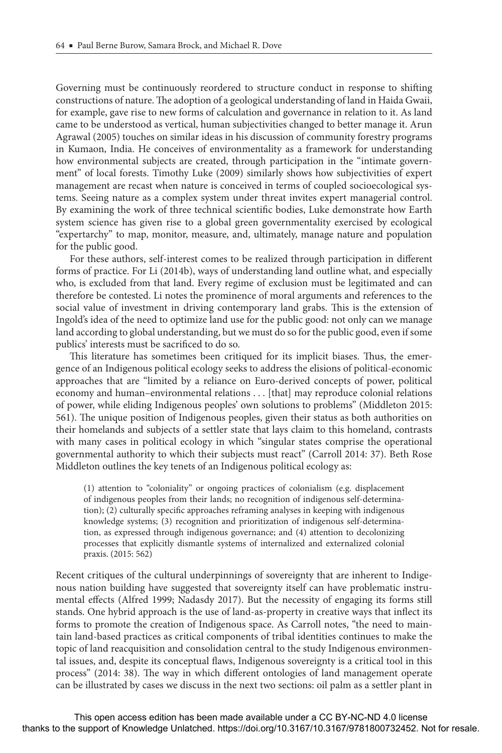Governing must be continuously reordered to structure conduct in response to shifting constructions of nature. The adoption of a geological understanding of land in Haida Gwaii, for example, gave rise to new forms of calculation and governance in relation to it. As land came to be understood as vertical, human subjectivities changed to better manage it. Arun Agrawal (2005) touches on similar ideas in his discussion of community forestry programs in Kumaon, India. He conceives of environmentality as a framework for understanding how environmental subjects are created, through participation in the "intimate government" of local forests. Timothy Luke (2009) similarly shows how subjectivities of expert management are recast when nature is conceived in terms of coupled socioecological systems. Seeing nature as a complex system under threat invites expert managerial control. By examining the work of three technical scientific bodies, Luke demonstrate how Earth system science has given rise to a global green governmentality exercised by ecological "expertarchy" to map, monitor, measure, and, ultimately, manage nature and population for the public good.

For these authors, self-interest comes to be realized through participation in different forms of practice. For Li (2014b), ways of understanding land outline what, and especially who, is excluded from that land. Every regime of exclusion must be legitimated and can therefore be contested. Li notes the prominence of moral arguments and references to the social value of investment in driving contemporary land grabs. This is the extension of Ingold's idea of the need to optimize land use for the public good: not only can we manage land according to global understanding, but we must do so for the public good, even if some publics' interests must be sacrificed to do so.

This literature has sometimes been critiqued for its implicit biases. Thus, the emergence of an Indigenous political ecology seeks to address the elisions of political-economic approaches that are "limited by a reliance on Euro-derived concepts of power, political economy and human–environmental relations . . . [that] may reproduce colonial relations of power, while eliding Indigenous peoples' own solutions to problems" (Middleton 2015: 561). The unique position of Indigenous peoples, given their status as both authorities on their homelands and subjects of a settler state that lays claim to this homeland, contrasts with many cases in political ecology in which "singular states comprise the operational governmental authority to which their subjects must react" (Carroll 2014: 37). Beth Rose Middleton outlines the key tenets of an Indigenous political ecology as:

(1) attention to "coloniality" or ongoing practices of colonialism (e.g. displacement of indigenous peoples from their lands; no recognition of indigenous self-determination); (2) culturally specific approaches reframing analyses in keeping with indigenous knowledge systems; (3) recognition and prioritization of indigenous self-determination, as expressed through indigenous governance; and (4) attention to decolonizing processes that explicitly dismantle systems of internalized and externalized colonial praxis. (2015: 562)

Recent critiques of the cultural underpinnings of sovereignty that are inherent to Indigenous nation building have suggested that sovereignty itself can have problematic instrumental effects (Alfred 1999; Nadasdy 2017). But the necessity of engaging its forms still stands. One hybrid approach is the use of land-as-property in creative ways that inflect its forms to promote the creation of Indigenous space. As Carroll notes, "the need to maintain land-based practices as critical components of tribal identities continues to make the topic of land reacquisition and consolidation central to the study Indigenous environmental issues, and, despite its conceptual flaws, Indigenous sovereignty is a critical tool in this process" (2014: 38). The way in which different ontologies of land management operate can be illustrated by cases we discuss in the next two sections: oil palm as a settler plant in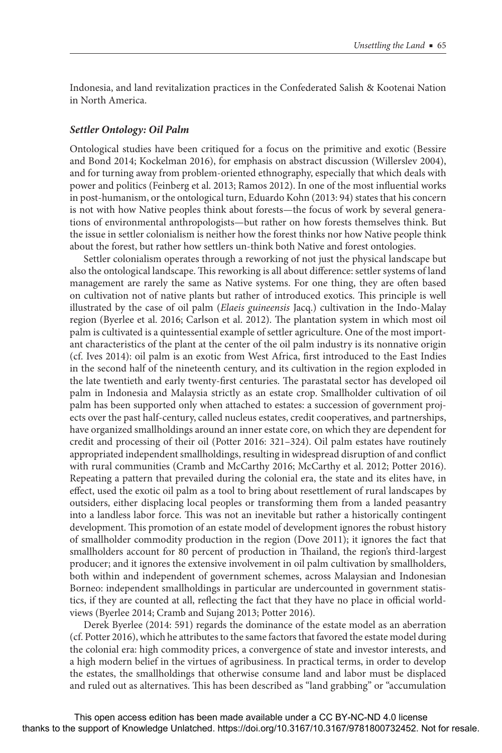Indonesia, and land revitalization practices in the Confederated Salish & Kootenai Nation in North America.

#### *Settler Ontology: Oil Palm*

Ontological studies have been critiqued for a focus on the primitive and exotic (Bessire and Bond 2014; Kockelman 2016), for emphasis on abstract discussion (Willerslev 2004), and for turning away from problem-oriented ethnography, especially that which deals with power and politics (Feinberg et al. 2013; Ramos 2012). In one of the most influential works in post-humanism, or the ontological turn, Eduardo Kohn (2013: 94) states that his concern is not with how Native peoples think about forests—the focus of work by several generations of environmental anthropologists—but rather on how forests themselves think. But the issue in settler colonialism is neither how the forest thinks nor how Native people think about the forest, but rather how settlers un-think both Native and forest ontologies.

Settler colonialism operates through a reworking of not just the physical landscape but also the ontological landscape. This reworking is all about difference: settler systems of land management are rarely the same as Native systems. For one thing, they are often based on cultivation not of native plants but rather of introduced exotics. This principle is well illustrated by the case of oil palm (*Elaeis guineensis* Jacq.) cultivation in the Indo-Malay region (Byerlee et al. 2016; Carlson et al. 2012). The plantation system in which most oil palm is cultivated is a quintessential example of settler agriculture. One of the most important characteristics of the plant at the center of the oil palm industry is its nonnative origin (cf. Ives 2014): oil palm is an exotic from West Africa, first introduced to the East Indies in the second half of the nineteenth century, and its cultivation in the region exploded in the late twentieth and early twenty-first centuries. The parastatal sector has developed oil palm in Indonesia and Malaysia strictly as an estate crop. Smallholder cultivation of oil palm has been supported only when attached to estates: a succession of government projects over the past half-century, called nucleus estates, credit cooperatives, and partnerships, have organized smallholdings around an inner estate core, on which they are dependent for credit and processing of their oil (Potter 2016: 321–324). Oil palm estates have routinely appropriated independent smallholdings, resulting in widespread disruption of and conflict with rural communities (Cramb and McCarthy 2016; McCarthy et al. 2012; Potter 2016). Repeating a pattern that prevailed during the colonial era, the state and its elites have, in effect, used the exotic oil palm as a tool to bring about resettlement of rural landscapes by outsiders, either displacing local peoples or transforming them from a landed peasantry into a landless labor force. This was not an inevitable but rather a historically contingent development. This promotion of an estate model of development ignores the robust history of smallholder commodity production in the region (Dove 2011); it ignores the fact that smallholders account for 80 percent of production in Thailand, the region's third-largest producer; and it ignores the extensive involvement in oil palm cultivation by smallholders, both within and independent of government schemes, across Malaysian and Indonesian Borneo: independent smallholdings in particular are undercounted in government statistics, if they are counted at all, reflecting the fact that they have no place in official worldviews (Byerlee 2014; Cramb and Sujang 2013; Potter 2016).

Derek Byerlee (2014: 591) regards the dominance of the estate model as an aberration (cf. Potter 2016), which he attributes to the same factors that favored the estate model during the colonial era: high commodity prices, a convergence of state and investor interests, and a high modern belief in the virtues of agribusiness. In practical terms, in order to develop the estates, the smallholdings that otherwise consume land and labor must be displaced and ruled out as alternatives. This has been described as "land grabbing" or "accumulation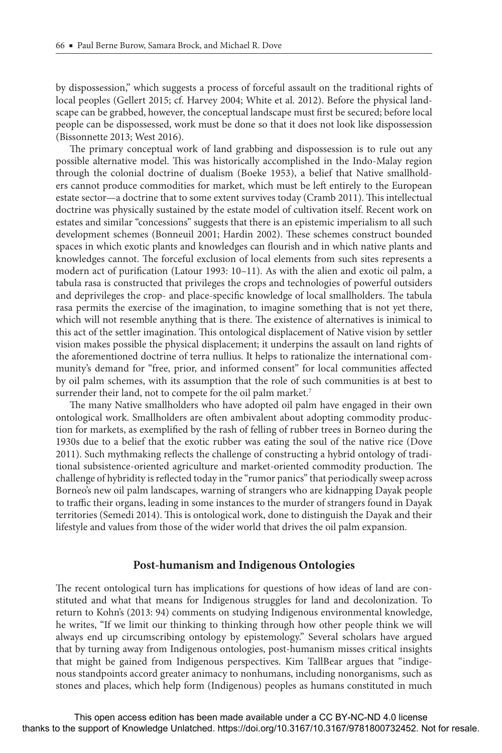by dispossession," which suggests a process of forceful assault on the traditional rights of local peoples (Gellert 2015; cf. Harvey 2004; White et al. 2012). Before the physical landscape can be grabbed, however, the conceptual landscape must first be secured; before local people can be dispossessed, work must be done so that it does not look like dispossession (Bissonnette 2013; West 2016).

The primary conceptual work of land grabbing and dispossession is to rule out any possible alternative model. This was historically accomplished in the Indo-Malay region through the colonial doctrine of dualism (Boeke 1953), a belief that Native smallholders cannot produce commodities for market, which must be left entirely to the European estate sector—a doctrine that to some extent survives today (Cramb 2011). This intellectual doctrine was physically sustained by the estate model of cultivation itself. Recent work on estates and similar "concessions" suggests that there is an epistemic imperialism to all such development schemes (Bonneuil 2001; Hardin 2002). These schemes construct bounded spaces in which exotic plants and knowledges can flourish and in which native plants and knowledges cannot. The forceful exclusion of local elements from such sites represents a modern act of purification (Latour 1993: 10–11). As with the alien and exotic oil palm, a tabula rasa is constructed that privileges the crops and technologies of powerful outsiders and deprivileges the crop- and place-specific knowledge of local smallholders. The tabula rasa permits the exercise of the imagination, to imagine something that is not yet there, which will not resemble anything that is there. The existence of alternatives is inimical to this act of the settler imagination. This ontological displacement of Native vision by settler vision makes possible the physical displacement; it underpins the assault on land rights of the aforementioned doctrine of terra nullius. It helps to rationalize the international community's demand for "free, prior, and informed consent" for local communities affected by oil palm schemes, with its assumption that the role of such communities is at best to surrender their land, not to compete for the oil palm market.<sup>7</sup>

The many Native smallholders who have adopted oil palm have engaged in their own ontological work. Smallholders are often ambivalent about adopting commodity production for markets, as exemplified by the rash of felling of rubber trees in Borneo during the 1930s due to a belief that the exotic rubber was eating the soul of the native rice (Dove 2011). Such mythmaking reflects the challenge of constructing a hybrid ontology of traditional subsistence-oriented agriculture and market-oriented commodity production. The challenge of hybridity is reflected today in the "rumor panics" that periodically sweep across Borneo's new oil palm landscapes, warning of strangers who are kidnapping Dayak people to traffic their organs, leading in some instances to the murder of strangers found in Dayak territories (Semedi 2014). This is ontological work, done to distinguish the Dayak and their lifestyle and values from those of the wider world that drives the oil palm expansion.

#### **Post-humanism and Indigenous Ontologies**

The recent ontological turn has implications for questions of how ideas of land are constituted and what that means for Indigenous struggles for land and decolonization. To return to Kohn's (2013: 94) comments on studying Indigenous environmental knowledge, he writes, "If we limit our thinking to thinking through how other people think we will always end up circumscribing ontology by epistemology." Several scholars have argued that by turning away from Indigenous ontologies, post-humanism misses critical insights that might be gained from Indigenous perspectives. Kim TallBear argues that "indigenous standpoints accord greater animacy to nonhumans, including nonorganisms, such as stones and places, which help form (Indigenous) peoples as humans constituted in much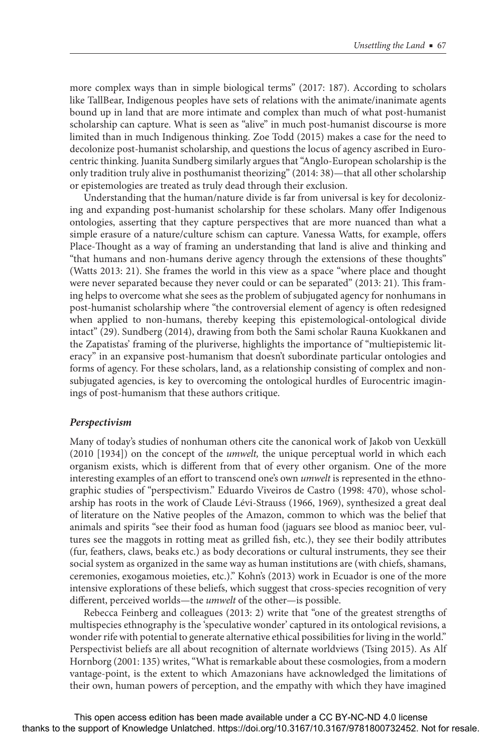more complex ways than in simple biological terms" (2017: 187). According to scholars like TallBear, Indigenous peoples have sets of relations with the animate/inanimate agents bound up in land that are more intimate and complex than much of what post-humanist scholarship can capture. What is seen as "alive" in much post-humanist discourse is more limited than in much Indigenous thinking. Zoe Todd (2015) makes a case for the need to decolonize post-humanist scholarship, and questions the locus of agency ascribed in Eurocentric thinking. Juanita Sundberg similarly argues that "Anglo-European scholarship is the only tradition truly alive in posthumanist theorizing" (2014: 38)—that all other scholarship or epistemologies are treated as truly dead through their exclusion.

Understanding that the human/nature divide is far from universal is key for decolonizing and expanding post-humanist scholarship for these scholars. Many offer Indigenous ontologies, asserting that they capture perspectives that are more nuanced than what a simple erasure of a nature/culture schism can capture. Vanessa Watts, for example, offers Place-Thought as a way of framing an understanding that land is alive and thinking and "that humans and non-humans derive agency through the extensions of these thoughts" (Watts 2013: 21). She frames the world in this view as a space "where place and thought were never separated because they never could or can be separated" (2013: 21). This framing helps to overcome what she sees as the problem of subjugated agency for nonhumans in post-humanist scholarship where "the controversial element of agency is often redesigned when applied to non-humans, thereby keeping this epistemological-ontological divide intact" (29). Sundberg (2014), drawing from both the Sami scholar Rauna Kuokkanen and the Zapatistas' framing of the pluriverse, highlights the importance of "multiepistemic literacy" in an expansive post-humanism that doesn't subordinate particular ontologies and forms of agency. For these scholars, land, as a relationship consisting of complex and nonsubjugated agencies, is key to overcoming the ontological hurdles of Eurocentric imaginings of post-humanism that these authors critique.

#### *Perspectivism*

Many of today's studies of nonhuman others cite the canonical work of Jakob von Uexküll (2010 [1934]) on the concept of the *umwelt,* the unique perceptual world in which each organism exists, which is different from that of every other organism. One of the more interesting examples of an effort to transcend one's own *umwelt* is represented in the ethnographic studies of "perspectivism." Eduardo Viveiros de Castro (1998: 470), whose scholarship has roots in the work of Claude Lévi-Strauss (1966, 1969), synthesized a great deal of literature on the Native peoples of the Amazon, common to which was the belief that animals and spirits "see their food as human food (jaguars see blood as manioc beer, vultures see the maggots in rotting meat as grilled fish, etc.), they see their bodily attributes (fur, feathers, claws, beaks etc.) as body decorations or cultural instruments, they see their social system as organized in the same way as human institutions are (with chiefs, shamans, ceremonies, exogamous moieties, etc.)." Kohn's (2013) work in Ecuador is one of the more intensive explorations of these beliefs, which suggest that cross-species recognition of very different, perceived worlds—the *umwelt* of the other—is possible.

Rebecca Feinberg and colleagues (2013: 2) write that "one of the greatest strengths of multispecies ethnography is the 'speculative wonder' captured in its ontological revisions, a wonder rife with potential to generate alternative ethical possibilities for living in the world." Perspectivist beliefs are all about recognition of alternate worldviews (Tsing 2015). As Alf Hornborg (2001: 135) writes, "What is remarkable about these cosmologies, from a modern vantage-point, is the extent to which Amazonians have acknowledged the limitations of their own, human powers of perception, and the empathy with which they have imagined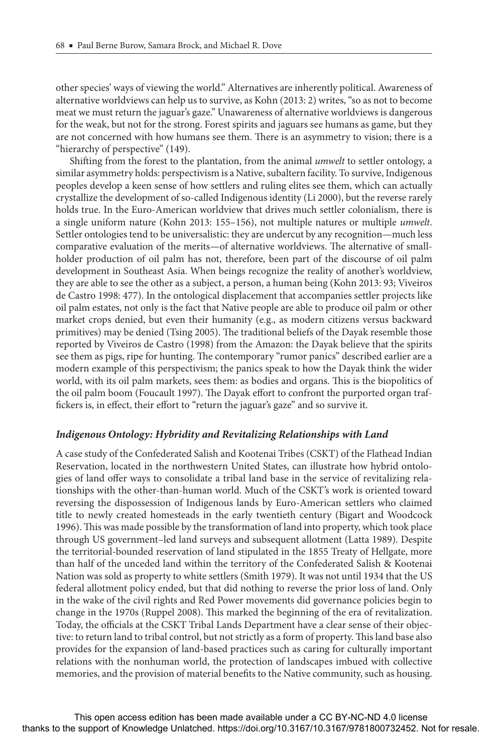other species' ways of viewing the world." Alternatives are inherently political. Awareness of alternative worldviews can help us to survive, as Kohn (2013: 2) writes, "so as not to become meat we must return the jaguar's gaze." Unawareness of alternative worldviews is dangerous for the weak, but not for the strong. Forest spirits and jaguars see humans as game, but they are not concerned with how humans see them. There is an asymmetry to vision; there is a "hierarchy of perspective" (149).

Shifting from the forest to the plantation, from the animal *umwelt* to settler ontology, a similar asymmetry holds: perspectivism is a Native, subaltern facility. To survive, Indigenous peoples develop a keen sense of how settlers and ruling elites see them, which can actually crystallize the development of so-called Indigenous identity (Li 2000), but the reverse rarely holds true. In the Euro-American worldview that drives much settler colonialism, there is a single uniform nature (Kohn 2013: 155–156), not multiple natures or multiple *umwelt*. Settler ontologies tend to be universalistic: they are undercut by any recognition—much less comparative evaluation of the merits—of alternative worldviews. The alternative of smallholder production of oil palm has not, therefore, been part of the discourse of oil palm development in Southeast Asia. When beings recognize the reality of another's worldview, they are able to see the other as a subject, a person, a human being (Kohn 2013: 93; Viveiros de Castro 1998: 477). In the ontological displacement that accompanies settler projects like oil palm estates, not only is the fact that Native people are able to produce oil palm or other market crops denied, but even their humanity (e.g., as modern citizens versus backward primitives) may be denied (Tsing 2005). The traditional beliefs of the Dayak resemble those reported by Viveiros de Castro (1998) from the Amazon: the Dayak believe that the spirits see them as pigs, ripe for hunting. The contemporary "rumor panics" described earlier are a modern example of this perspectivism; the panics speak to how the Dayak think the wider world, with its oil palm markets, sees them: as bodies and organs. This is the biopolitics of the oil palm boom (Foucault 1997). The Dayak effort to confront the purported organ traffickers is, in effect, their effort to "return the jaguar's gaze" and so survive it.

#### *Indigenous Ontology: Hybridity and Revitalizing Relationships with Land*

A case study of the Confederated Salish and Kootenai Tribes (CSKT) of the Flathead Indian Reservation, located in the northwestern United States, can illustrate how hybrid ontologies of land offer ways to consolidate a tribal land base in the service of revitalizing relationships with the other-than-human world. Much of the CSKT's work is oriented toward reversing the dispossession of Indigenous lands by Euro-American settlers who claimed title to newly created homesteads in the early twentieth century (Bigart and Woodcock 1996). This was made possible by the transformation of land into property, which took place through US government–led land surveys and subsequent allotment (Latta 1989). Despite the territorial-bounded reservation of land stipulated in the 1855 Treaty of Hellgate, more than half of the unceded land within the territory of the Confederated Salish & Kootenai Nation was sold as property to white settlers (Smith 1979). It was not until 1934 that the US federal allotment policy ended, but that did nothing to reverse the prior loss of land. Only in the wake of the civil rights and Red Power movements did governance policies begin to change in the 1970s (Ruppel 2008). This marked the beginning of the era of revitalization. Today, the officials at the CSKT Tribal Lands Department have a clear sense of their objective: to return land to tribal control, but not strictly as a form of property. This land base also provides for the expansion of land-based practices such as caring for culturally important relations with the nonhuman world, the protection of landscapes imbued with collective memories, and the provision of material benefits to the Native community, such as housing.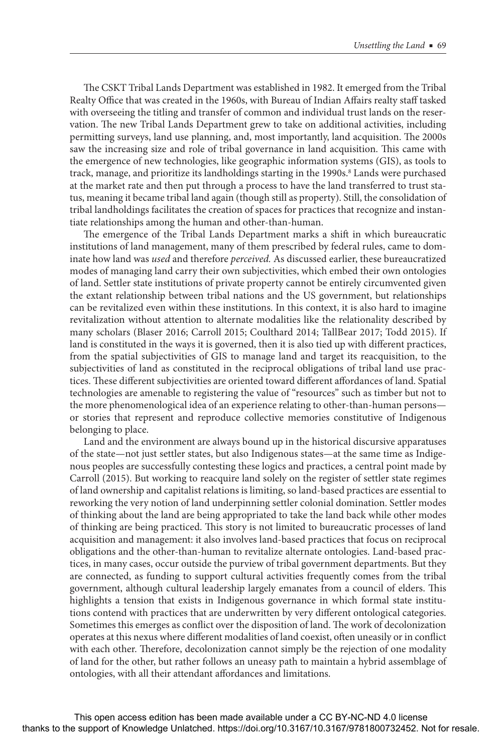The CSKT Tribal Lands Department was established in 1982. It emerged from the Tribal Realty Office that was created in the 1960s, with Bureau of Indian Affairs realty staff tasked with overseeing the titling and transfer of common and individual trust lands on the reservation. The new Tribal Lands Department grew to take on additional activities, including permitting surveys, land use planning, and, most importantly, land acquisition. The 2000s saw the increasing size and role of tribal governance in land acquisition. This came with the emergence of new technologies, like geographic information systems (GIS), as tools to track, manage, and prioritize its landholdings starting in the 1990s.<sup>8</sup> Lands were purchased at the market rate and then put through a process to have the land transferred to trust status, meaning it became tribal land again (though still as property). Still, the consolidation of tribal landholdings facilitates the creation of spaces for practices that recognize and instantiate relationships among the human and other-than-human.

The emergence of the Tribal Lands Department marks a shift in which bureaucratic institutions of land management, many of them prescribed by federal rules, came to dominate how land was *used* and therefore *perceived.* As discussed earlier, these bureaucratized modes of managing land carry their own subjectivities, which embed their own ontologies of land. Settler state institutions of private property cannot be entirely circumvented given the extant relationship between tribal nations and the US government, but relationships can be revitalized even within these institutions. In this context, it is also hard to imagine revitalization without attention to alternate modalities like the relationality described by many scholars (Blaser 2016; Carroll 2015; Coulthard 2014; TallBear 2017; Todd 2015). If land is constituted in the ways it is governed, then it is also tied up with different practices, from the spatial subjectivities of GIS to manage land and target its reacquisition, to the subjectivities of land as constituted in the reciprocal obligations of tribal land use practices. These different subjectivities are oriented toward different affordances of land. Spatial technologies are amenable to registering the value of "resources" such as timber but not to the more phenomenological idea of an experience relating to other-than-human persons or stories that represent and reproduce collective memories constitutive of Indigenous belonging to place.

Land and the environment are always bound up in the historical discursive apparatuses of the state—not just settler states, but also Indigenous states—at the same time as Indigenous peoples are successfully contesting these logics and practices, a central point made by Carroll (2015). But working to reacquire land solely on the register of settler state regimes of land ownership and capitalist relations is limiting, so land-based practices are essential to reworking the very notion of land underpinning settler colonial domination. Settler modes of thinking about the land are being appropriated to take the land back while other modes of thinking are being practiced. This story is not limited to bureaucratic processes of land acquisition and management: it also involves land-based practices that focus on reciprocal obligations and the other-than-human to revitalize alternate ontologies. Land-based practices, in many cases, occur outside the purview of tribal government departments. But they are connected, as funding to support cultural activities frequently comes from the tribal government, although cultural leadership largely emanates from a council of elders. This highlights a tension that exists in Indigenous governance in which formal state institutions contend with practices that are underwritten by very different ontological categories. Sometimes this emerges as conflict over the disposition of land. The work of decolonization operates at this nexus where different modalities of land coexist, often uneasily or in conflict with each other. Therefore, decolonization cannot simply be the rejection of one modality of land for the other, but rather follows an uneasy path to maintain a hybrid assemblage of ontologies, with all their attendant affordances and limitations.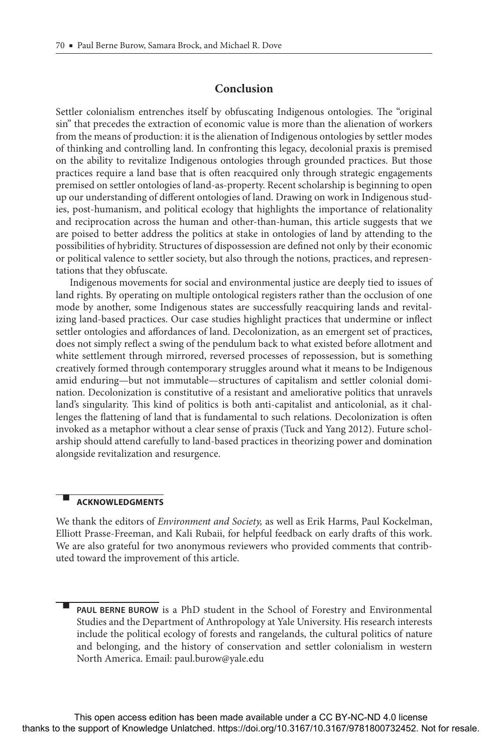#### **Conclusion**

Settler colonialism entrenches itself by obfuscating Indigenous ontologies. The "original sin" that precedes the extraction of economic value is more than the alienation of workers from the means of production: it is the alienation of Indigenous ontologies by settler modes of thinking and controlling land. In confronting this legacy, decolonial praxis is premised on the ability to revitalize Indigenous ontologies through grounded practices. But those practices require a land base that is often reacquired only through strategic engagements premised on settler ontologies of land-as-property. Recent scholarship is beginning to open up our understanding of different ontologies of land. Drawing on work in Indigenous studies, post-humanism, and political ecology that highlights the importance of relationality and reciprocation across the human and other-than-human, this article suggests that we are poised to better address the politics at stake in ontologies of land by attending to the possibilities of hybridity. Structures of dispossession are defined not only by their economic or political valence to settler society, but also through the notions, practices, and representations that they obfuscate.

Indigenous movements for social and environmental justice are deeply tied to issues of land rights. By operating on multiple ontological registers rather than the occlusion of one mode by another, some Indigenous states are successfully reacquiring lands and revitalizing land-based practices. Our case studies highlight practices that undermine or inflect settler ontologies and affordances of land. Decolonization, as an emergent set of practices, does not simply reflect a swing of the pendulum back to what existed before allotment and white settlement through mirrored, reversed processes of repossession, but is something creatively formed through contemporary struggles around what it means to be Indigenous amid enduring—but not immutable—structures of capitalism and settler colonial domination. Decolonization is constitutive of a resistant and ameliorative politics that unravels land's singularity. This kind of politics is both anti-capitalist and anticolonial, as it challenges the flattening of land that is fundamental to such relations. Decolonization is often invoked as a metaphor without a clear sense of praxis (Tuck and Yang 2012). Future scholarship should attend carefully to land-based practices in theorizing power and domination alongside revitalization and resurgence.

#### n **ACKNOWLEDGMENTS**

We thank the editors of *Environment and Society,* as well as Erik Harms, Paul Kockelman, Elliott Prasse-Freeman, and Kali Rubaii, for helpful feedback on early drafts of this work. We are also grateful for two anonymous reviewers who provided comments that contributed toward the improvement of this article.

n **PAUL BERNE BUROW** is a PhD student in the School of Forestry and Environmental Studies and the Department of Anthropology at Yale University. His research interests include the political ecology of forests and rangelands, the cultural politics of nature and belonging, and the history of conservation and settler colonialism in western North America. Email: paul.burow@yale.edu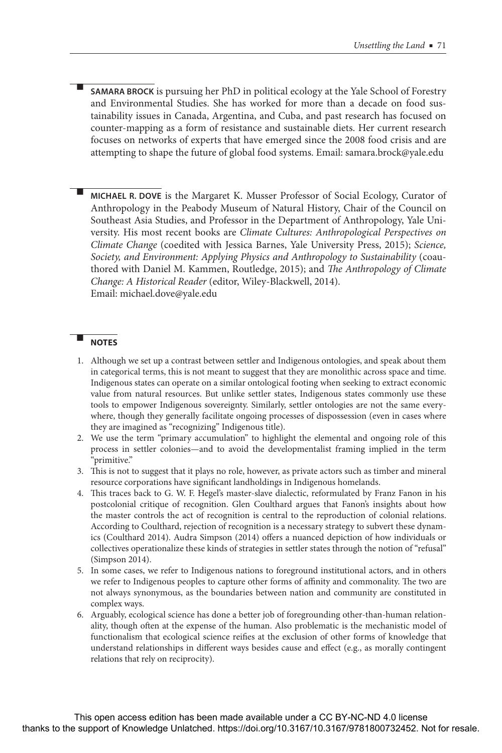**SAMARA BROCK** is pursuing her PhD in political ecology at the Yale School of Forestry and Environmental Studies. She has worked for more than a decade on food sustainability issues in Canada, Argentina, and Cuba, and past research has focused on counter-mapping as a form of resistance and sustainable diets. Her current research focuses on networks of experts that have emerged since the 2008 food crisis and are attempting to shape the future of global food systems. Email: samara.brock@yale.edu

n **MICHAEL R. DOVE** is the Margaret K. Musser Professor of Social Ecology, Curator of Anthropology in the Peabody Museum of Natural History, Chair of the Council on Southeast Asia Studies, and Professor in the Department of Anthropology, Yale University. His most recent books are *Climate Cultures: Anthropological Perspectives on Climate Change* (coedited with Jessica Barnes, Yale University Press, 2015); *Science, Society, and Environment: Applying Physics and Anthropology to Sustainability* (coauthored with Daniel M. Kammen, Routledge, 2015); and *The Anthropology of Climate Change: A Historical Reader* (editor, Wiley-Blackwell, 2014). Email: michael.dove@yale.edu

## **NOTES**

- 1. Although we set up a contrast between settler and Indigenous ontologies, and speak about them in categorical terms, this is not meant to suggest that they are monolithic across space and time. Indigenous states can operate on a similar ontological footing when seeking to extract economic value from natural resources. But unlike settler states, Indigenous states commonly use these tools to empower Indigenous sovereignty. Similarly, settler ontologies are not the same everywhere, though they generally facilitate ongoing processes of dispossession (even in cases where they are imagined as "recognizing" Indigenous title).
- 2. We use the term "primary accumulation" to highlight the elemental and ongoing role of this process in settler colonies—and to avoid the developmentalist framing implied in the term "primitive."
- 3. This is not to suggest that it plays no role, however, as private actors such as timber and mineral resource corporations have significant landholdings in Indigenous homelands.
- 4. This traces back to G. W. F. Hegel's master-slave dialectic, reformulated by Franz Fanon in his postcolonial critique of recognition. Glen Coulthard argues that Fanon's insights about how the master controls the act of recognition is central to the reproduction of colonial relations. According to Coulthard, rejection of recognition is a necessary strategy to subvert these dynamics (Coulthard 2014). Audra Simpson (2014) offers a nuanced depiction of how individuals or collectives operationalize these kinds of strategies in settler states through the notion of "refusal" (Simpson 2014).
- 5. In some cases, we refer to Indigenous nations to foreground institutional actors, and in others we refer to Indigenous peoples to capture other forms of affinity and commonality. The two are not always synonymous, as the boundaries between nation and community are constituted in complex ways.
- 6. Arguably, ecological science has done a better job of foregrounding other-than-human relationality, though often at the expense of the human. Also problematic is the mechanistic model of functionalism that ecological science reifies at the exclusion of other forms of knowledge that understand relationships in different ways besides cause and effect (e.g., as morally contingent relations that rely on reciprocity).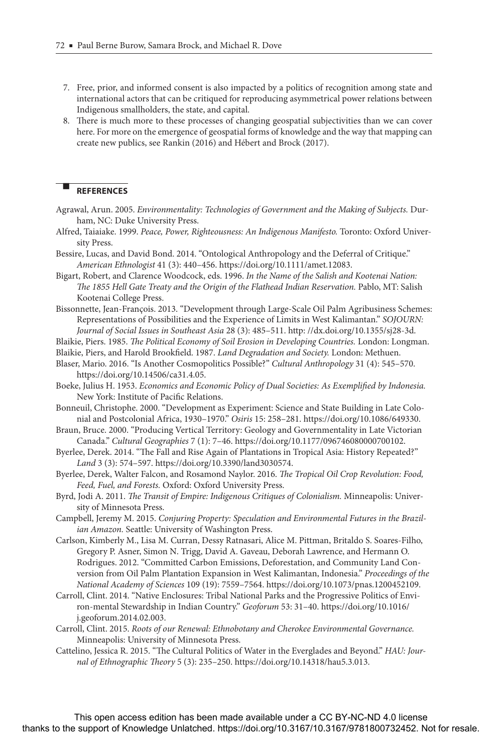- 7. Free, prior, and informed consent is also impacted by a politics of recognition among state and international actors that can be critiqued for reproducing asymmetrical power relations between Indigenous smallholders, the state, and capital.
- 8. There is much more to these processes of changing geospatial subjectivities than we can cover here. For more on the emergence of geospatial forms of knowledge and the way that mapping can create new publics, see Rankin (2016) and Hébert and Brock (2017).

## n **REFERENCES**

- Agrawal, Arun. 2005. *Environmentality: Technologies of Government and the Making of Subjects.* Durham, NC: Duke University Press.
- Alfred, Taiaiake. 1999. *Peace, Power, Righteousness: An Indigenous Manifesto.* Toronto: Oxford University Press.
- Bessire, Lucas, and David Bond. 2014. "Ontological Anthropology and the Deferral of Critique." *American Ethnologist* 41 (3): 440–456. https://doi.org/10.1111/amet.12083.
- Bigart, Robert, and Clarence Woodcock, eds. 1996. *In the Name of the Salish and Kootenai Nation: The 1855 Hell Gate Treaty and the Origin of the Flathead Indian Reservation.* Pablo, MT: Salish Kootenai College Press.
- Bissonnette, Jean-François. 2013. "Development through Large-Scale Oil Palm Agribusiness Schemes: Representations of Possibilities and the Experience of Limits in West Kalimantan." *SOJOURN: Journal of Social Issues in Southeast Asia* 28 (3): 485–511. http: //dx.doi.org/10.1355/sj28-3d.
- Blaikie, Piers. 1985. *The Political Economy of Soil Erosion in Developing Countries.* London: Longman.
- Blaikie, Piers, and Harold Brookfield. 1987. *Land Degradation and Society.* London: Methuen.
- Blaser, Mario. 2016. "Is Another Cosmopolitics Possible?" *Cultural Anthropology* 31 (4): 545–570. https://doi.org/10.14506/ca31.4.05.
- Boeke, Julius H. 1953. *Economics and Economic Policy of Dual Societies: As Exemplified by Indonesia.* New York: Institute of Pacific Relations.
- Bonneuil, Christophe. 2000. "Development as Experiment: Science and State Building in Late Colonial and Postcolonial Africa, 1930–1970." *Osiris* 15: 258–281. https://doi.org/10.1086/649330.
- Braun, Bruce. 2000. "Producing Vertical Territory: Geology and Governmentality in Late Victorian Canada." *Cultural Geographies* 7 (1): 7–46. https://doi.org/10.1177/096746080000700102.
- Byerlee, Derek. 2014. "The Fall and Rise Again of Plantations in Tropical Asia: History Repeated?" *Land* 3 (3): 574–597. https://doi.org/10.3390/land3030574.
- Byerlee, Derek, Walter Falcon, and Rosamond Naylor. 2016. *The Tropical Oil Crop Revolution: Food, Feed, Fuel, and Forests.* Oxford: Oxford University Press.
- Byrd, Jodi A. 2011. *The Transit of Empire: Indigenous Critiques of Colonialism.* Minneapolis: University of Minnesota Press.
- Campbell, Jeremy M. 2015. *Conjuring Property: Speculation and Environmental Futures in the Brazilian Amazon.* Seattle: University of Washington Press.
- Carlson, Kimberly M., Lisa M. Curran, Dessy Ratnasari, Alice M. Pittman, Britaldo S. Soares-Filho, Gregory P. Asner, Simon N. Trigg, David A. Gaveau, Deborah Lawrence, and Hermann O. Rodrigues. 2012. "Committed Carbon Emissions, Deforestation, and Community Land Conversion from Oil Palm Plantation Expansion in West Kalimantan, Indonesia." *Proceedings of the National Academy of Sciences* 109 (19): 7559–7564. https://doi.org/10.1073/pnas.1200452109.
- Carroll, Clint. 2014. "Native Enclosures: Tribal National Parks and the Progressive Politics of Environ-mental Stewardship in Indian Country." *Geoforum* 53: 31–40. https://doi.org/10.1016/ j.geoforum.2014.02.003.
- Carroll, Clint. 2015. *Roots of our Renewal: Ethnobotany and Cherokee Environmental Governance.* Minneapolis: University of Minnesota Press.
- Cattelino, Jessica R. 2015. "The Cultural Politics of Water in the Everglades and Beyond." *HAU: Journal of Ethnographic Theory* 5 (3): 235–250. https://doi.org/10.14318/hau5.3.013.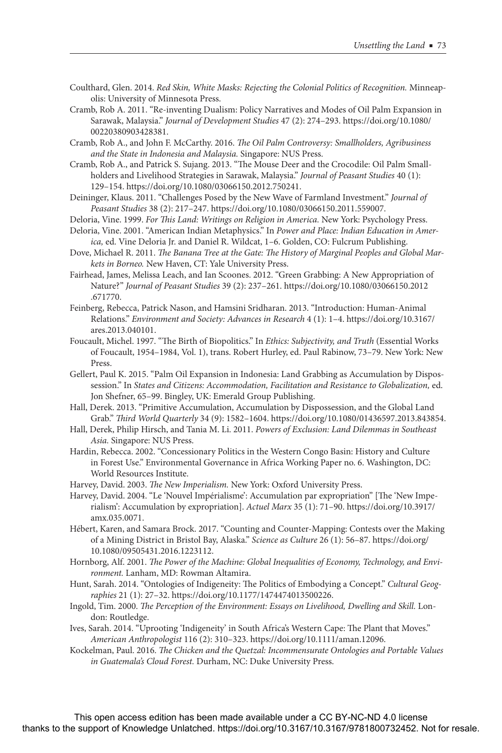- Coulthard, Glen. 2014. *Red Skin, White Masks: Rejecting the Colonial Politics of Recognition.* Minneapolis: University of Minnesota Press.
- Cramb, Rob A. 2011. "Re-inventing Dualism: Policy Narratives and Modes of Oil Palm Expansion in Sarawak, Malaysia." *Journal of Development Studies* 47 (2): 274–293. https://doi.org/10.1080/ 00220380903428381.
- Cramb, Rob A., and John F. McCarthy. 2016. *The Oil Palm Controversy: Smallholders, Agribusiness and the State in Indonesia and Malaysia.* Singapore: NUS Press.
- Cramb, Rob A., and Patrick S. Sujang. 2013. "The Mouse Deer and the Crocodile: Oil Palm Smallholders and Livelihood Strategies in Sarawak, Malaysia." *Journal of Peasant Studies* 40 (1): 129–154. https://doi.org/10.1080/03066150.2012.750241.
- Deininger, Klaus. 2011. "Challenges Posed by the New Wave of Farmland Investment." *Journal of Peasant Studies* 38 (2): 217–247. https://doi.org/10.1080/03066150.2011.559007.
- Deloria, Vine. 1999. *For This Land: Writings on Religion in America.* New York: Psychology Press.
- Deloria, Vine. 2001. "American Indian Metaphysics." In *Power and Place: Indian Education in America,* ed. Vine Deloria Jr. and Daniel R. Wildcat, 1–6. Golden, CO: Fulcrum Publishing.
- Dove, Michael R. 2011. *The Banana Tree at the Gate: The History of Marginal Peoples and Global Markets in Borneo.* New Haven, CT: Yale University Press.
- Fairhead, James, Melissa Leach, and Ian Scoones. 2012. "Green Grabbing: A New Appropriation of Nature?" *Journal of Peasant Studies* 39 (2): 237–261. https://doi.org/10.1080/03066150.2012 .671770.
- Feinberg, Rebecca, Patrick Nason, and Hamsini Sridharan. 2013. "Introduction: Human-Animal Relations." *Environment and Society: Advances in Research* 4 (1): 1–4. https://doi.org/10.3167/ ares.2013.040101.
- Foucault, Michel. 1997. "The Birth of Biopolitics." In *Ethics: Subjectivity, and Truth* (Essential Works of Foucault, 1954–1984, Vol. 1), trans. Robert Hurley, ed. Paul Rabinow, 73–79. New York: New Press.
- Gellert, Paul K. 2015. "Palm Oil Expansion in Indonesia: Land Grabbing as Accumulation by Dispossession." In *States and Citizens: Accommodation, Facilitation and Resistance to Globalization,* ed. Jon Shefner, 65–99. Bingley, UK: Emerald Group Publishing.
- Hall, Derek. 2013. "Primitive Accumulation, Accumulation by Dispossession, and the Global Land Grab." *Third World Quarterly* 34 (9): 1582–1604. https://doi.org/10.1080/01436597.2013.843854.
- Hall, Derek, Philip Hirsch, and Tania M. Li. 2011. *Powers of Exclusion: Land Dilemmas in Southeast Asia.* Singapore: NUS Press.
- Hardin, Rebecca. 2002. "Concessionary Politics in the Western Congo Basin: History and Culture in Forest Use." Environmental Governance in Africa Working Paper no. 6. Washington, DC: World Resources Institute.
- Harvey, David. 2003. *The New Imperialism.* New York: Oxford University Press.
- Harvey, David. 2004. "Le 'Nouvel Impérialisme': Accumulation par expropriation" [The 'New Imperialism': Accumulation by expropriation]. *Actuel Marx* 35 (1): 71–90. https://doi.org/10.3917/ amx.035.0071.
- Hébert, Karen, and Samara Brock. 2017. "Counting and Counter-Mapping: Contests over the Making of a Mining District in Bristol Bay, Alaska." *Science as Culture* 26 (1): 56–87. https://doi.org/ 10.1080/09505431.2016.1223112.
- Hornborg, Alf. 2001. *The Power of the Machine: Global Inequalities of Economy, Technology, and Environment.* Lanham, MD: Rowman Altamira.
- Hunt, Sarah. 2014. "Ontologies of Indigeneity: The Politics of Embodying a Concept." *Cultural Geographies* 21 (1): 27–32. https://doi.org/10.1177/1474474013500226.
- Ingold, Tim. 2000. *The Perception of the Environment: Essays on Livelihood, Dwelling and Skill.* London: Routledge.
- Ives, Sarah. 2014. "Uprooting 'Indigeneity' in South Africa's Western Cape: The Plant that Moves." *American Anthropologist* 116 (2): 310–323. https://doi.org/10.1111/aman.12096.
- Kockelman, Paul. 2016. *The Chicken and the Quetzal: Incommensurate Ontologies and Portable Values in Guatemala's Cloud Forest.* Durham, NC: Duke University Press.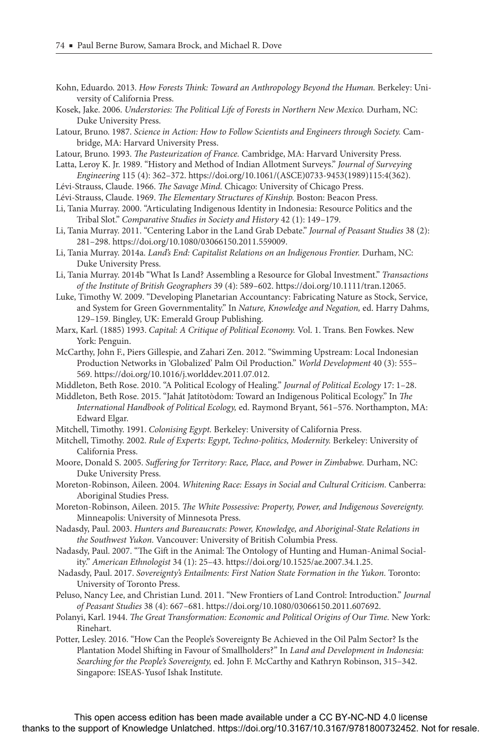- Kohn, Eduardo. 2013. *How Forests Think: Toward an Anthropology Beyond the Human.* Berkeley: University of California Press.
- Kosek, Jake. 2006. *Understories: The Political Life of Forests in Northern New Mexico.* Durham, NC: Duke University Press.
- Latour, Bruno. 1987. *Science in Action: How to Follow Scientists and Engineers through Society.* Cambridge, MA: Harvard University Press.
- Latour, Bruno. 1993. *The Pasteurization of France.* Cambridge, MA: Harvard University Press.
- Latta, Leroy K. Jr. 1989. "History and Method of Indian Allotment Surveys." *Journal of Surveying Engineering* 115 (4): 362–372. https://doi.org/10.1061/(ASCE)0733-9453(1989)115:4(362).
- Lévi-Strauss, Claude. 1966. *The Savage Mind.* Chicago: University of Chicago Press.
- Lévi-Strauss, Claude. 1969. *The Elementary Structures of Kinship.* Boston: Beacon Press.
- Li, Tania Murray. 2000. "Articulating Indigenous Identity in Indonesia: Resource Politics and the Tribal Slot." *Comparative Studies in Society and History* 42 (1): 149–179.
- Li, Tania Murray. 2011. "Centering Labor in the Land Grab Debate." *Journal of Peasant Studies* 38 (2): 281–298. https://doi.org/10.1080/03066150.2011.559009.
- Li, Tania Murray. 2014a. *Land's End: Capitalist Relations on an Indigenous Frontier.* Durham, NC: Duke University Press.
- Li, Tania Murray. 2014b "What Is Land? Assembling a Resource for Global Investment." *Transactions of the Institute of British Geographers* 39 (4): 589–602. https://doi.org/10.1111/tran.12065.
- Luke, Timothy W. 2009. "Developing Planetarian Accountancy: Fabricating Nature as Stock, Service, and System for Green Governmentality." In *Nature, Knowledge and Negation,* ed. Harry Dahms, 129–159. Bingley, UK: Emerald Group Publishing.
- Marx, Karl. (1885) 1993. *Capital: A Critique of Political Economy.* Vol. 1. Trans. Ben Fowkes. New York: Penguin.
- McCarthy, John F., Piers Gillespie, and Zahari Zen. 2012. "Swimming Upstream: Local Indonesian Production Networks in 'Globalized' Palm Oil Production." *World Development* 40 (3): 555– 569. https://doi.org/10.1016/j.worlddev.2011.07.012.
- Middleton, Beth Rose. 2010. "A Political Ecology of Healing." *Journal of Political Ecology* 17: 1–28.
- Middleton, Beth Rose. 2015. "Jahát Jatítotòdom: Toward an Indigenous Political Ecology." In *The International Handbook of Political Ecology,* ed. Raymond Bryant, 561–576. Northampton, MA: Edward Elgar.
- Mitchell, Timothy. 1991. *Colonising Egypt.* Berkeley: University of California Press.
- Mitchell, Timothy. 2002. *Rule of Experts: Egypt, Techno-politics, Modernity.* Berkeley: University of California Press.
- Moore, Donald S. 2005. *Suffering for Territory: Race, Place, and Power in Zimbabwe.* Durham, NC: Duke University Press.
- Moreton-Robinson, Aileen. 2004. *Whitening Race: Essays in Social and Cultural Criticism.* Canberra: Aboriginal Studies Press.
- Moreton-Robinson, Aileen. 2015. *The White Possessive: Property, Power, and Indigenous Sovereignty.* Minneapolis: University of Minnesota Press.
- Nadasdy, Paul. 2003. *Hunters and Bureaucrats: Power, Knowledge, and Aboriginal-State Relations in the Southwest Yukon.* Vancouver: University of British Columbia Press.
- Nadasdy, Paul. 2007. "The Gift in the Animal: The Ontology of Hunting and Human-Animal Sociality." *American Ethnologist* 34 (1): 25–43. https://doi.org/10.1525/ae.2007.34.1.25.
- Nadasdy, Paul. 2017. *Sovereignty's Entailments: First Nation State Formation in the Yukon.* Toronto: University of Toronto Press.
- Peluso, Nancy Lee, and Christian Lund. 2011. "New Frontiers of Land Control: Introduction." *Journal of Peasant Studies* 38 (4): 667–681. https://doi.org/10.1080/03066150.2011.607692.
- Polanyi, Karl. 1944. *The Great Transformation: Economic and Political Origins of Our Time.* New York: Rinehart.
- Potter, Lesley. 2016. "How Can the People's Sovereignty Be Achieved in the Oil Palm Sector? Is the Plantation Model Shifting in Favour of Smallholders?" In *Land and Development in Indonesia: Searching for the People's Sovereignty,* ed. John F. McCarthy and Kathryn Robinson, 315–342. Singapore: ISEAS-Yusof Ishak Institute.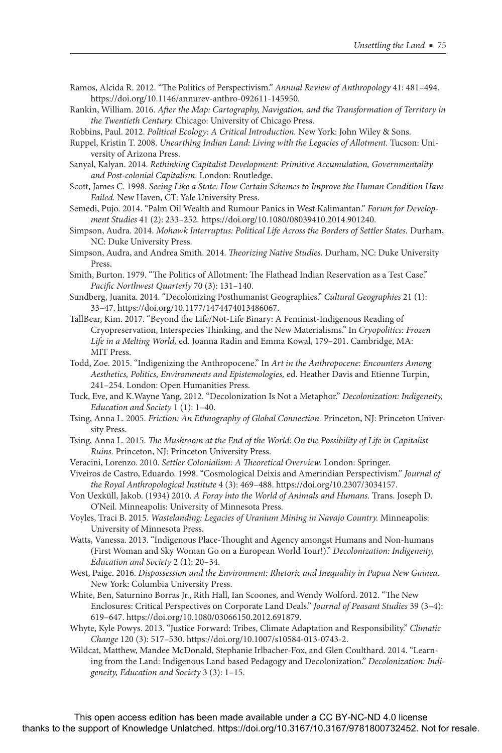- Ramos, Alcida R. 2012. "The Politics of Perspectivism." *Annual Review of Anthropology* 41: 481–494. https://doi.org/10.1146/annurev-anthro-092611-145950.
- Rankin, William. 2016. *After the Map: Cartography, Navigation, and the Transformation of Territory in the Twentieth Century.* Chicago: University of Chicago Press.

Robbins, Paul. 2012. *Political Ecology: A Critical Introduction.* New York: John Wiley & Sons.

- Ruppel, Kristin T. 2008. *Unearthing Indian Land: Living with the Legacies of Allotment.* Tucson: University of Arizona Press.
- Sanyal, Kalyan. 2014. *Rethinking Capitalist Development: Primitive Accumulation, Governmentality and Post-colonial Capitalism.* London: Routledge.
- Scott, James C. 1998. *Seeing Like a State: How Certain Schemes to Improve the Human Condition Have Failed.* New Haven, CT: Yale University Press.
- Semedi, Pujo. 2014. "Palm Oil Wealth and Rumour Panics in West Kalimantan." *Forum for Development Studies* 41 (2): 233–252. https://doi.org/10.1080/08039410.2014.901240.
- Simpson, Audra. 2014. *Mohawk Interruptus: Political Life Across the Borders of Settler States.* Durham, NC: Duke University Press.
- Simpson, Audra, and Andrea Smith. 2014. *Theorizing Native Studies.* Durham, NC: Duke University Press.
- Smith, Burton. 1979. "The Politics of Allotment: The Flathead Indian Reservation as a Test Case." *Pacific Northwest Quarterly* 70 (3): 131–140.
- Sundberg, Juanita. 2014. "Decolonizing Posthumanist Geographies." *Cultural Geographies* 21 (1): 33–47. https://doi.org/10.1177/1474474013486067.
- TallBear, Kim. 2017. "Beyond the Life/Not-Life Binary: A Feminist-Indigenous Reading of Cryopreservation, Interspecies Thinking, and the New Materialisms." In *Cryopolitics: Frozen Life in a Melting World,* ed. Joanna Radin and Emma Kowal, 179–201. Cambridge, MA: MIT Press.
- Todd, Zoe. 2015. "Indigenizing the Anthropocene." In *Art in the Anthropocene: Encounters Among Aesthetics, Politics, Environments and Epistemologies,* ed. Heather Davis and Etienne Turpin, 241–254. London: Open Humanities Press.
- Tuck, Eve, and K.Wayne Yang, 2012. "Decolonization Is Not a Metaphor." *Decolonization: Indigeneity, Education and Society* 1 (1): 1–40.
- Tsing, Anna L. 2005. *Friction: An Ethnography of Global Connection.* Princeton, NJ: Princeton University Press.
- Tsing, Anna L. 2015. *The Mushroom at the End of the World: On the Possibility of Life in Capitalist Ruins.* Princeton, NJ: Princeton University Press.
- Veracini, Lorenzo. 2010. *Settler Colonialism: A Theoretical Overview.* London: Springer.
- Viveiros de Castro, Eduardo. 1998. "Cosmological Deixis and Amerindian Perspectivism." *Journal of the Royal Anthropological Institute* 4 (3): 469–488. https://doi.org/10.2307/3034157.
- Von Uexküll, Jakob. (1934) 2010. *A Foray into the World of Animals and Humans.* Trans. Joseph D. O'Neil. Minneapolis: University of Minnesota Press.
- Voyles, Traci B. 2015. *Wastelanding: Legacies of Uranium Mining in Navajo Country.* Minneapolis: University of Minnesota Press.
- Watts, Vanessa. 2013. "Indigenous Place-Thought and Agency amongst Humans and Non-humans (First Woman and Sky Woman Go on a European World Tour!)." *Decolonization: Indigeneity, Education and Society* 2 (1): 20–34.
- West, Paige. 2016. *Dispossession and the Environment: Rhetoric and Inequality in Papua New Guinea.* New York: Columbia University Press.
- White, Ben, Saturnino Borras Jr., Rith Hall, Ian Scoones, and Wendy Wolford. 2012. "The New Enclosures: Critical Perspectives on Corporate Land Deals." *Journal of Peasant Studies* 39 (3–4): 619–647. https://doi.org/10.1080/03066150.2012.691879.
- Whyte, Kyle Powys. 2013. "Justice Forward: Tribes, Climate Adaptation and Responsibility." *Climatic Change* 120 (3): 517–530. https://doi.org/10.1007/s10584-013-0743-2.
- Wildcat, Matthew, Mandee McDonald, Stephanie Irlbacher-Fox, and Glen Coulthard. 2014. "Learning from the Land: Indigenous Land based Pedagogy and Decolonization." *Decolonization: Indigeneity, Education and Society* 3 (3): 1–15.